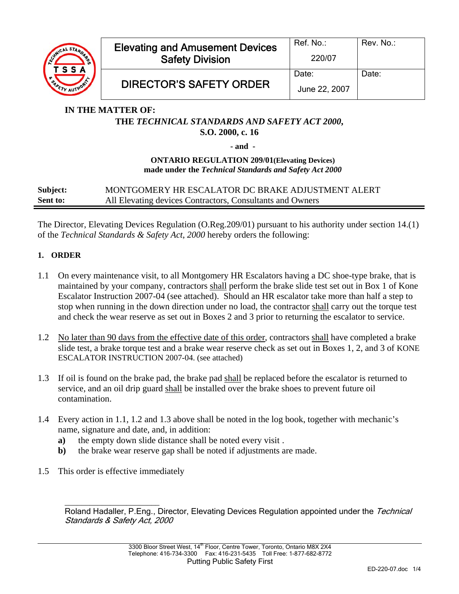

## **IN THE MATTER OF: THE** *TECHNICAL STANDARDS AND SAFETY ACT 2000***, S.O. 2000, c. 16**

**- and -** 

## **ONTARIO REGULATION 209/01(Elevating Devices) made under the** *Technical Standards and Safety Act 2000*

# **Subject:** MONTGOMERY HR ESCALATOR DC BRAKE ADJUSTMENT ALERT **Sent to:** All Elevating devices Contractors, Consultants and Owners

The Director, Elevating Devices Regulation (O.Reg.209/01) pursuant to his authority under section 14.(1) of the *Technical Standards & Safety Act*, *2000* hereby orders the following:

# **1. ORDER**

- 1.1 On every maintenance visit, to all Montgomery HR Escalators having a DC shoe-type brake, that is maintained by your company, contractors shall perform the brake slide test set out in Box 1 of Kone Escalator Instruction 2007-04 (see attached). Should an HR escalator take more than half a step to stop when running in the down direction under no load, the contractor shall carry out the torque test and check the wear reserve as set out in Boxes 2 and 3 prior to returning the escalator to service.
- 1.2 No later than 90 days from the effective date of this order, contractors shall have completed a brake slide test, a brake torque test and a brake wear reserve check as set out in Boxes 1, 2, and 3 of KONE ESCALATOR INSTRUCTION 2007-04. (see attached)
- 1.3 If oil is found on the brake pad, the brake pad shall be replaced before the escalator is returned to service, and an oil drip guard shall be installed over the brake shoes to prevent future oil contamination.
- 1.4 Every action in 1.1, 1.2 and 1.3 above shall be noted in the log book, together with mechanic's name, signature and date, and, in addition:
	- **a)** the empty down slide distance shall be noted every visit .
	- **b**) the brake wear reserve gap shall be noted if adjustments are made.
- 1.5 This order is effective immediately

 $\overline{\phantom{a}}$  , and the set of the set of the set of the set of the set of the set of the set of the set of the set of the set of the set of the set of the set of the set of the set of the set of the set of the set of the s Roland Hadaller, P.Eng., Director, Elevating Devices Regulation appointed under the Technical Standards & Safety Act, 2000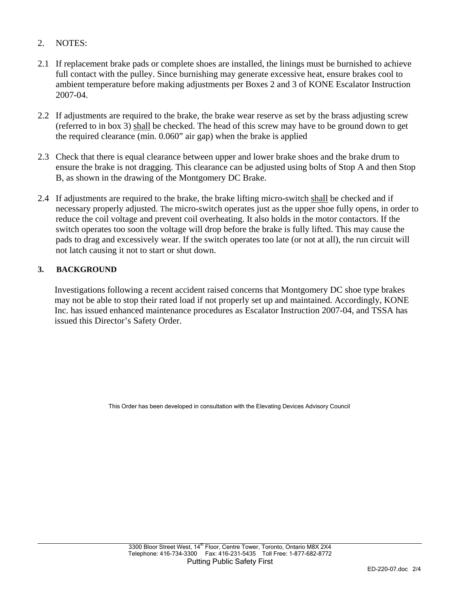- 2. NOTES:
- 2.1 If replacement brake pads or complete shoes are installed, the linings must be burnished to achieve full contact with the pulley. Since burnishing may generate excessive heat, ensure brakes cool to ambient temperature before making adjustments per Boxes 2 and 3 of KONE Escalator Instruction 2007-04.
- 2.2 If adjustments are required to the brake, the brake wear reserve as set by the brass adjusting screw (referred to in box 3) shall be checked. The head of this screw may have to be ground down to get the required clearance (min. 0.060" air gap) when the brake is applied
- 2.3 Check that there is equal clearance between upper and lower brake shoes and the brake drum to ensure the brake is not dragging. This clearance can be adjusted using bolts of Stop A and then Stop B, as shown in the drawing of the Montgomery DC Brake.
- 2.4 If adjustments are required to the brake, the brake lifting micro-switch shall be checked and if necessary properly adjusted. The micro-switch operates just as the upper shoe fully opens, in order to reduce the coil voltage and prevent coil overheating. It also holds in the motor contactors. If the switch operates too soon the voltage will drop before the brake is fully lifted. This may cause the pads to drag and excessively wear. If the switch operates too late (or not at all), the run circuit will not latch causing it not to start or shut down.

## **3. BACKGROUND**

Investigations following a recent accident raised concerns that Montgomery DC shoe type brakes may not be able to stop their rated load if not properly set up and maintained. Accordingly, KONE Inc. has issued enhanced maintenance procedures as Escalator Instruction 2007-04, and TSSA has issued this Director's Safety Order.

This Order has been developed in consultation with the Elevating Devices Advisory Council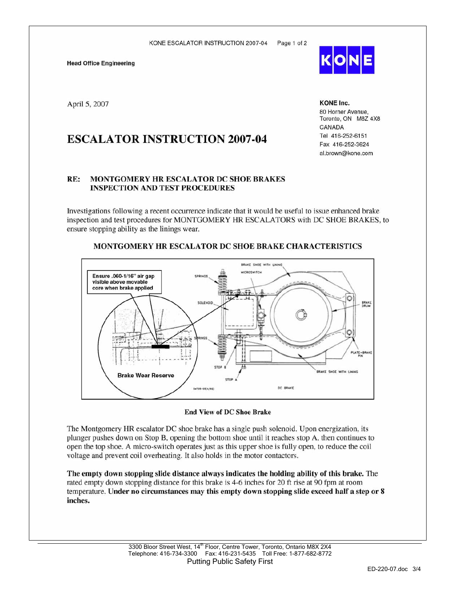**Head Office Engineering** 

April 5, 2007

# **ESCALATOR INSTRUCTION 2007-04**

#### $RE:$ **MONTGOMERY HR ESCALATOR DC SHOE BRAKES INSPECTION AND TEST PROCEDURES**

Investigations following a recent occurrence indicate that it would be useful to issue enhanced brake inspection and test procedures for MONTGOMERY HR ESCALATORS with DC SHOE BRAKES, to ensure stopping ability as the linings wear.



## MONTGOMERY HR ESCALATOR DC SHOE BRAKE CHARACTERISTICS

### **End View of DC Shoe Brake**

The Montgomery HR escalator DC shoe brake has a single push solenoid. Upon energization, its plunger pushes down on Stop B, opening the bottom shoe until it reaches stop A, then continues to open the top shoe. A micro-switch operates just as this upper shoe is fully open, to reduce the coil voltage and prevent coil overheating. It also holds in the motor contactors.

The empty down stopping slide distance always indicates the holding ability of this brake. The rated empty down stopping distance for this brake is 4-6 inches for 20 ft rise at 90 fpm at room temperature. Under no circumstances may this empty down stopping slide exceed half a step or 8 inches.



**KONE Inc.** 80 Horner Avenue. Toronto, ON M8Z 4X8 CANADA Tel 416-252-6151 Fax 416-252-3624 al.brown@kone.com